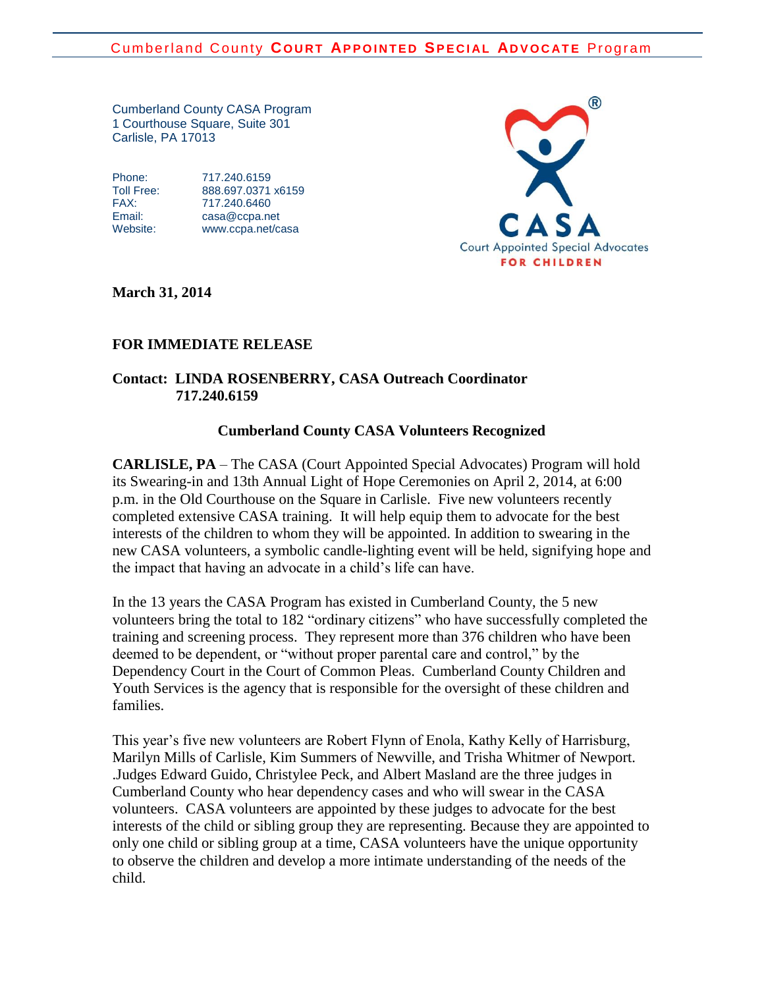Cumberland County CASA Program 1 Courthouse Square, Suite 301 Carlisle, PA 17013

Phone: 717.240.6159

Toll Free: 888.697.0371 x6159 FAX: 717.240.6460 Email: [casa@ccpa.net](mailto:casa@ccpa.net) Website: [www.ccpa.net/casa](http://www.ccpa.net/casa)



**March 31, 2014**

## **FOR IMMEDIATE RELEASE**

## **Contact: LINDA ROSENBERRY, CASA Outreach Coordinator 717.240.6159**

## **Cumberland County CASA Volunteers Recognized**

**CARLISLE, PA** – The CASA (Court Appointed Special Advocates) Program will hold its Swearing-in and 13th Annual Light of Hope Ceremonies on April 2, 2014, at 6:00 p.m. in the Old Courthouse on the Square in Carlisle. Five new volunteers recently completed extensive CASA training. It will help equip them to advocate for the best interests of the children to whom they will be appointed. In addition to swearing in the new CASA volunteers, a symbolic candle-lighting event will be held, signifying hope and the impact that having an advocate in a child's life can have.

In the 13 years the CASA Program has existed in Cumberland County, the 5 new volunteers bring the total to 182 "ordinary citizens" who have successfully completed the training and screening process. They represent more than 376 children who have been deemed to be dependent, or "without proper parental care and control," by the Dependency Court in the Court of Common Pleas. Cumberland County Children and Youth Services is the agency that is responsible for the oversight of these children and families.

This year's five new volunteers are Robert Flynn of Enola, Kathy Kelly of Harrisburg, Marilyn Mills of Carlisle, Kim Summers of Newville, and Trisha Whitmer of Newport. .Judges Edward Guido, Christylee Peck, and Albert Masland are the three judges in Cumberland County who hear dependency cases and who will swear in the CASA volunteers. CASA volunteers are appointed by these judges to advocate for the best interests of the child or sibling group they are representing. Because they are appointed to only one child or sibling group at a time, CASA volunteers have the unique opportunity to observe the children and develop a more intimate understanding of the needs of the child.